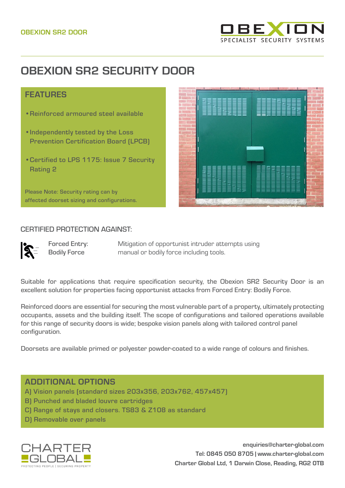

# **OBEXION SR2 SECURITY DOOR**

# **FFATURES**

- •Reinforced armoured steel available
- •Independently tested by the Loss Prevention Certification Board (LPCB)
- •Certified to LPS 1175: Issue 7 Security Rating 2

Please Note: Security rating can by affected doorset sizing and configurations.



#### CERTIFIED PROTECTION AGAINST:

Forced Entry: Bodily Force

Mitigation of opportunist intruder attempts using manual or bodily force including tools.

Suitable for applications that require specification security, the Obexion SR2 Security Door is an excellent solution for properties facing opportunist attacks from Forced Entry: Bodily Force.

Reinforced doors are essential for securing the most vulnerable part of a property, ultimately protecting occupants, assets and the building itself. The scope of configurations and tailored operations available for this range of security doors is wide; bespoke vision panels along with tailored control panel configuration.

Doorsets are available primed or polyester powder-coated to a wide range of colours and finishes.

# ADDITIONAL OPTIONS

- A) Vision panels (standard sizes 203x356, 203x762, 457x457)
- B) Punched and bladed louvre cartridges
- C) Range of stays and closers. TS83 & Z108 as standard
- D) Removable over panels



**enquiries@charter-global.com Tel: 0845 050 8705 | [www.charter-global.com](http://www.charter-global.com) Charter Global Ltd, 1 Darwin Close, Reading, RG2 0TB**